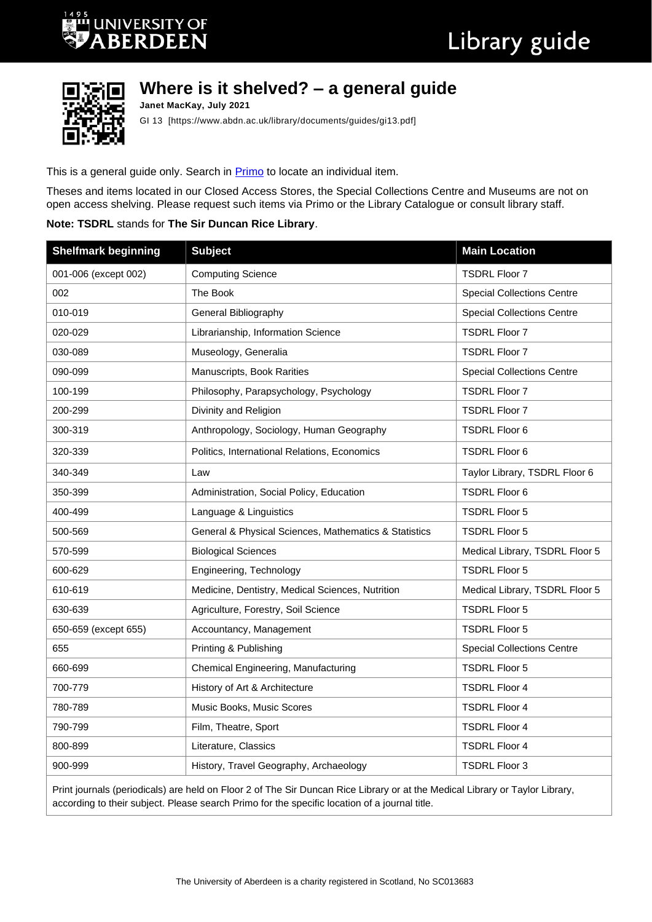## **UNIVERSITY OF BERDEEN**



## **Where is it shelved? – a general guide**

**Janet MacKay, July 2021** GI 13 [https://www.abdn.ac.uk/library/documents/guides/gi13.pdf]

This is a general guide only. Search in **Primo** to locate an individual item.

Theses and items located in our Closed Access Stores, the Special Collections Centre and Museums are not on open access shelving. Please request such items via Primo or the Library Catalogue or consult library staff.

## **Note: TSDRL** stands for **The Sir Duncan Rice Library**.

| <b>Shelfmark beginning</b> | <b>Subject</b>                                        | <b>Main Location</b>              |  |
|----------------------------|-------------------------------------------------------|-----------------------------------|--|
| 001-006 (except 002)       | <b>Computing Science</b>                              | <b>TSDRL Floor 7</b>              |  |
| 002                        | The Book                                              | <b>Special Collections Centre</b> |  |
| 010-019                    | General Bibliography                                  | <b>Special Collections Centre</b> |  |
| 020-029                    | Librarianship, Information Science                    | <b>TSDRL Floor 7</b>              |  |
| 030-089                    | Museology, Generalia                                  | <b>TSDRL Floor 7</b>              |  |
| 090-099                    | Manuscripts, Book Rarities                            | <b>Special Collections Centre</b> |  |
| 100-199                    | Philosophy, Parapsychology, Psychology                | <b>TSDRL Floor 7</b>              |  |
| 200-299                    | Divinity and Religion                                 | <b>TSDRL Floor 7</b>              |  |
| 300-319                    | Anthropology, Sociology, Human Geography              | <b>TSDRL Floor 6</b>              |  |
| 320-339                    | Politics, International Relations, Economics          | <b>TSDRL Floor 6</b>              |  |
| 340-349                    | Law                                                   | Taylor Library, TSDRL Floor 6     |  |
| 350-399                    | Administration, Social Policy, Education              | <b>TSDRL Floor 6</b>              |  |
| 400-499                    | Language & Linguistics                                | <b>TSDRL Floor 5</b>              |  |
| 500-569                    | General & Physical Sciences, Mathematics & Statistics | <b>TSDRL Floor 5</b>              |  |
| 570-599                    | <b>Biological Sciences</b>                            | Medical Library, TSDRL Floor 5    |  |
| 600-629                    | Engineering, Technology                               | <b>TSDRL Floor 5</b>              |  |
| 610-619                    | Medicine, Dentistry, Medical Sciences, Nutrition      | Medical Library, TSDRL Floor 5    |  |
| 630-639                    | Agriculture, Forestry, Soil Science                   | <b>TSDRL Floor 5</b>              |  |
| 650-659 (except 655)       | Accountancy, Management                               | <b>TSDRL Floor 5</b>              |  |
| 655                        | Printing & Publishing                                 | <b>Special Collections Centre</b> |  |
| 660-699                    | Chemical Engineering, Manufacturing                   | <b>TSDRL Floor 5</b>              |  |
| 700-779                    | History of Art & Architecture                         | <b>TSDRL Floor 4</b>              |  |
| 780-789                    | Music Books, Music Scores                             | <b>TSDRL Floor 4</b>              |  |
| 790-799                    | Film, Theatre, Sport                                  | <b>TSDRL Floor 4</b>              |  |
| 800-899                    | Literature, Classics                                  | <b>TSDRL Floor 4</b>              |  |
| 900-999                    | History, Travel Geography, Archaeology                | <b>TSDRL Floor 3</b>              |  |

Print journals (periodicals) are held on Floor 2 of The Sir Duncan Rice Library or at the Medical Library or Taylor Library, according to their subject. Please search Primo for the specific location of a journal title.